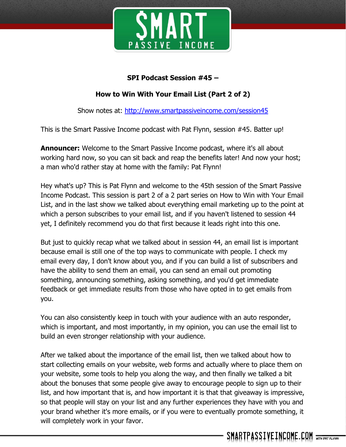

### **SPI Podcast Session #45 –**

## **How to Win With Your Email List (Part 2 of 2)**

Show notes at:<http://www.smartpassiveincome.com/session45>

This is the Smart Passive Income podcast with Pat Flynn, session #45. Batter up!

**Announcer:** Welcome to the Smart Passive Income podcast, where it's all about working hard now, so you can sit back and reap the benefits later! And now your host; a man who'd rather stay at home with the family: Pat Flynn!

Hey what's up? This is Pat Flynn and welcome to the 45th session of the Smart Passive Income Podcast. This session is part 2 of a 2 part series on How to Win with Your Email List, and in the last show we talked about everything email marketing up to the point at which a person subscribes to your email list, and if you haven't listened to session 44 yet, I definitely recommend you do that first because it leads right into this one.

But just to quickly recap what we talked about in session 44, an email list is important because email is still one of the top ways to communicate with people. I check my email every day, I don't know about you, and if you can build a list of subscribers and have the ability to send them an email, you can send an email out promoting something, announcing something, asking something, and you'd get immediate feedback or get immediate results from those who have opted in to get emails from you.

You can also consistently keep in touch with your audience with an auto responder, which is important, and most importantly, in my opinion, you can use the email list to build an even stronger relationship with your audience.

After we talked about the importance of the email list, then we talked about how to start collecting emails on your website, web forms and actually where to place them on your website, some tools to help you along the way, and then finally we talked a bit about the bonuses that some people give away to encourage people to sign up to their list, and how important that is, and how important it is that that giveaway is impressive, so that people will stay on your list and any further experiences they have with you and your brand whether it's more emails, or if you were to eventually promote something, it will completely work in your favor.

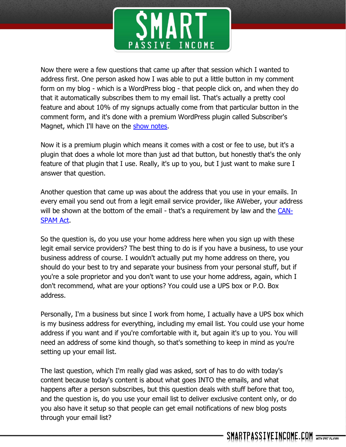

Now there were a few questions that came up after that session which I wanted to address first. One person asked how I was able to put a little button in my comment form on my blog - which is a WordPress blog - that people click on, and when they do that it automatically subscribes them to my email list. That's actually a pretty cool feature and about 10% of my signups actually come from that particular button in the comment form, and it's done with a premium WordPress plugin called Subscriber's Magnet, which I'll have on the show [notes.](http://www.smartpassiveincome.com/session45)

Now it is a premium plugin which means it comes with a cost or fee to use, but it's a plugin that does a whole lot more than just ad that button, but honestly that's the only feature of that plugin that I use. Really, it's up to you, but I just want to make sure I answer that question.

Another question that came up was about the address that you use in your emails. In every email you send out from a legit email service provider, like AWeber, your address will be shown at the bottom of the email - that's a requirement by law and the [CAN-](http://business.ftc.gov/documents/bus61-can-spam-act-compliance-guide-business)[SPAM](http://business.ftc.gov/documents/bus61-can-spam-act-compliance-guide-business) Act.

So the question is, do you use your home address here when you sign up with these legit email service providers? The best thing to do is if you have a business, to use your business address of course. I wouldn't actually put my home address on there, you should do your best to try and separate your business from your personal stuff, but if you're a sole proprietor and you don't want to use your home address, again, which I don't recommend, what are your options? You could use a UPS box or P.O. Box address.

Personally, I'm a business but since I work from home, I actually have a UPS box which is my business address for everything, including my email list. You could use your home address if you want and if you're comfortable with it, but again it's up to you. You will need an address of some kind though, so that's something to keep in mind as you're setting up your email list.

The last question, which I'm really glad was asked, sort of has to do with today's content because today's content is about what goes INTO the emails, and what happens after a person subscribes, but this question deals with stuff before that too, and the question is, do you use your email list to deliver exclusive content only, or do you also have it setup so that people can get email notifications of new blog posts through your email list?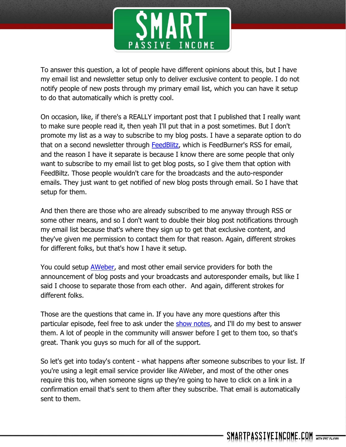

To answer this question, a lot of people have different opinions about this, but I have my email list and newsletter setup only to deliver exclusive content to people. I do not notify people of new posts through my primary email list, which you can have it setup to do that automatically which is pretty cool.

On occasion, like, if there's a REALLY important post that I published that I really want to make sure people read it, then yeah I'll put that in a post sometimes. But I don't promote my list as a way to subscribe to my blog posts. I have a separate option to do that on a second newsletter through **FeedBlitz**, which is FeedBurner's RSS for email, and the reason I have it separate is because I know there are some people that only want to subscribe to my email list to get blog posts, so I give them that option with FeedBiltz. Those people wouldn't care for the broadcasts and the auto-responder emails. They just want to get notified of new blog posts through email. So I have that setup for them.

And then there are those who are already subscribed to me anyway through RSS or some other means, and so I don't want to double their blog post notifications through my email list because that's where they sign up to get that exclusive content, and they've given me permission to contact them for that reason. Again, different strokes for different folks, but that's how I have it setup.

You could setup [AWeber,](http://smartpassiveincome.com/aweber) and most other email service providers for both the announcement of blog posts and your broadcasts and autoresponder emails, but like I said I choose to separate those from each other. And again, different strokes for different folks.

Those are the questions that came in. If you have any more questions after this particular episode, feel free to ask under the show [notes,](SmartPassiveIncome.com/session45) and I'll do my best to answer them. A lot of people in the community will answer before I get to them too, so that's great. Thank you guys so much for all of the support.

So let's get into today's content - what happens after someone subscribes to your list. If you're using a legit email service provider like AWeber, and most of the other ones require this too, when someone signs up they're going to have to click on a link in a confirmation email that's sent to them after they subscribe. That email is automatically sent to them.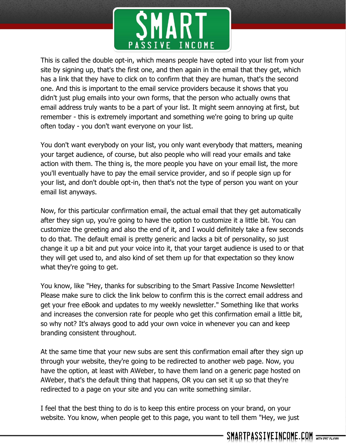

This is called the double opt-in, which means people have opted into your list from your site by signing up, that's the first one, and then again in the email that they get, which has a link that they have to click on to confirm that they are human, that's the second one. And this is important to the email service providers because it shows that you didn't just plug emails into your own forms, that the person who actually owns that email address truly wants to be a part of your list. It might seem annoying at first, but remember - this is extremely important and something we're going to bring up quite often today - you don't want everyone on your list.

You don't want everybody on your list, you only want everybody that matters, meaning your target audience, of course, but also people who will read your emails and take action with them. The thing is, the more people you have on your email list, the more you'll eventually have to pay the email service provider, and so if people sign up for your list, and don't double opt-in, then that's not the type of person you want on your email list anyways.

Now, for this particular confirmation email, the actual email that they get automatically after they sign up, you're going to have the option to customize it a little bit. You can customize the greeting and also the end of it, and I would definitely take a few seconds to do that. The default email is pretty generic and lacks a bit of personality, so just change it up a bit and put your voice into it, that your target audience is used to or that they will get used to, and also kind of set them up for that expectation so they know what they're going to get.

You know, like "Hey, thanks for subscribing to the Smart Passive Income Newsletter! Please make sure to click the link below to confirm this is the correct email address and get your free eBook and updates to my weekly newsletter." Something like that works and increases the conversion rate for people who get this confirmation email a little bit, so why not? It's always good to add your own voice in whenever you can and keep branding consistent throughout.

At the same time that your new subs are sent this confirmation email after they sign up through your website, they're going to be redirected to another web page. Now, you have the option, at least with AWeber, to have them land on a generic page hosted on AWeber, that's the default thing that happens, OR you can set it up so that they're redirected to a page on your site and you can write something similar.

I feel that the best thing to do is to keep this entire process on your brand, on your website. You know, when people get to this page, you want to tell them "Hey, we just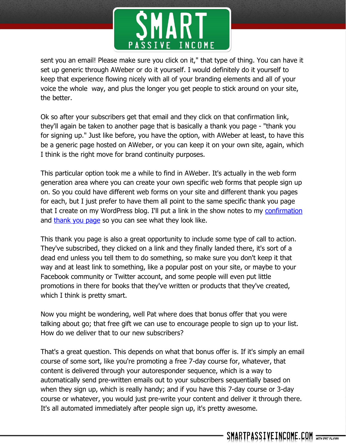

sent you an email! Please make sure you click on it," that type of thing. You can have it set up generic through AWeber or do it yourself. I would definitely do it yourself to keep that experience flowing nicely with all of your branding elements and all of your voice the whole way, and plus the longer you get people to stick around on your site, the better.

Ok so after your subscribers get that email and they click on that confirmation link, they'll again be taken to another page that is basically a thank you page - "thank you for signing up." Just like before, you have the option, with AWeber at least, to have this be a generic page hosted on AWeber, or you can keep it on your own site, again, which I think is the right move for brand continuity purposes.

This particular option took me a while to find in AWeber. It's actually in the web form generation area where you can create your own specific web forms that people sign up on. So you could have different web forms on your site and different thank you pages for each, but I just prefer to have them all point to the same specific thank you page that I create on my WordPress blog. I'll put a link in the show notes to my [confirmation](http://www.smartpassiveincome.com/thanks-for-subscribing/) and [thank you page](http://www.smartpassiveincome.com/thankyou/) so you can see what they look like.

This thank you page is also a great opportunity to include some type of call to action. They've subscribed, they clicked on a link and they finally landed there, it's sort of a dead end unless you tell them to do something, so make sure you don't keep it that way and at least link to something, like a popular post on your site, or maybe to your Facebook community or Twitter account, and some people will even put little promotions in there for books that they've written or products that they've created, which I think is pretty smart.

Now you might be wondering, well Pat where does that bonus offer that you were talking about go; that free gift we can use to encourage people to sign up to your list. How do we deliver that to our new subscribers?

That's a great question. This depends on what that bonus offer is. If it's simply an email course of some sort, like you're promoting a free 7-day course for, whatever, that content is delivered through your autoresponder sequence, which is a way to automatically send pre-written emails out to your subscribers sequentially based on when they sign up, which is really handy; and if you have this 7-day course or 3-day course or whatever, you would just pre-write your content and deliver it through there. It's all automated immediately after people sign up, it's pretty awesome.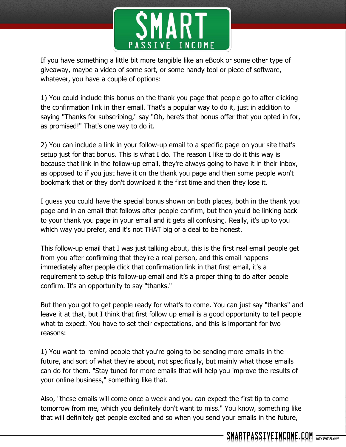

If you have something a little bit more tangible like an eBook or some other type of giveaway, maybe a video of some sort, or some handy tool or piece of software, whatever, you have a couple of options:

1) You could include this bonus on the thank you page that people go to after clicking the confirmation link in their email. That's a popular way to do it, just in addition to saying "Thanks for subscribing," say "Oh, here's that bonus offer that you opted in for, as promised!" That's one way to do it.

2) You can include a link in your follow-up email to a specific page on your site that's setup just for that bonus. This is what I do. The reason I like to do it this way is because that link in the follow-up email, they're always going to have it in their inbox, as opposed to if you just have it on the thank you page and then some people won't bookmark that or they don't download it the first time and then they lose it.

I guess you could have the special bonus shown on both places, both in the thank you page and in an email that follows after people confirm, but then you'd be linking back to your thank you page in your email and it gets all confusing. Really, it's up to you which way you prefer, and it's not THAT big of a deal to be honest.

This follow-up email that I was just talking about, this is the first real email people get from you after confirming that they're a real person, and this email happens immediately after people click that confirmation link in that first email, it's a requirement to setup this follow-up email and it's a proper thing to do after people confirm. It's an opportunity to say "thanks."

But then you got to get people ready for what's to come. You can just say "thanks" and leave it at that, but I think that first follow up email is a good opportunity to tell people what to expect. You have to set their expectations, and this is important for two reasons:

1) You want to remind people that you're going to be sending more emails in the future, and sort of what they're about, not specifically, but mainly what those emails can do for them. "Stay tuned for more emails that will help you improve the results of your online business," something like that.

Also, "these emails will come once a week and you can expect the first tip to come tomorrow from me, which you definitely don't want to miss." You know, something like that will definitely get people excited and so when you send your emails in the future,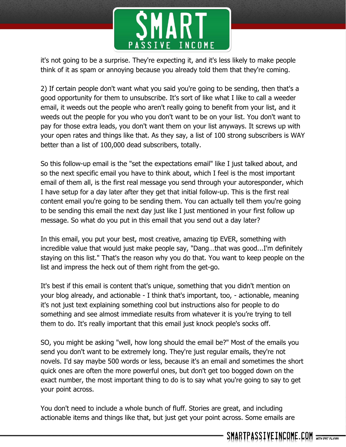

it's not going to be a surprise. They're expecting it, and it's less likely to make people think of it as spam or annoying because you already told them that they're coming.

2) If certain people don't want what you said you're going to be sending, then that's a good opportunity for them to unsubscribe. It's sort of like what I like to call a weeder email, it weeds out the people who aren't really going to benefit from your list, and it weeds out the people for you who you don't want to be on your list. You don't want to pay for those extra leads, you don't want them on your list anyways. It screws up with your open rates and things like that. As they say, a list of 100 strong subscribers is WAY better than a list of 100,000 dead subscribers, totally.

So this follow-up email is the "set the expectations email" like I just talked about, and so the next specific email you have to think about, which I feel is the most important email of them all, is the first real message you send through your autoresponder, which I have setup for a day later after they get that initial follow-up. This is the first real content email you're going to be sending them. You can actually tell them you're going to be sending this email the next day just like I just mentioned in your first follow up message. So what do you put in this email that you send out a day later?

In this email, you put your best, most creative, amazing tip EVER, something with incredible value that would just make people say, "Dang…that was good...I'm definitely staying on this list." That's the reason why you do that. You want to keep people on the list and impress the heck out of them right from the get-go.

It's best if this email is content that's unique, something that you didn't mention on your blog already, and actionable - I think that's important, too, - actionable, meaning it's not just text explaining something cool but instructions also for people to do something and see almost immediate results from whatever it is you're trying to tell them to do. It's really important that this email just knock people's socks off.

SO, you might be asking "well, how long should the email be?" Most of the emails you send you don't want to be extremely long. They're just regular emails, they're not novels. I'd say maybe 500 words or less, because it's an email and sometimes the short quick ones are often the more powerful ones, but don't get too bogged down on the exact number, the most important thing to do is to say what you're going to say to get your point across.

You don't need to include a whole bunch of fluff. Stories are great, and including actionable items and things like that, but just get your point across. Some emails are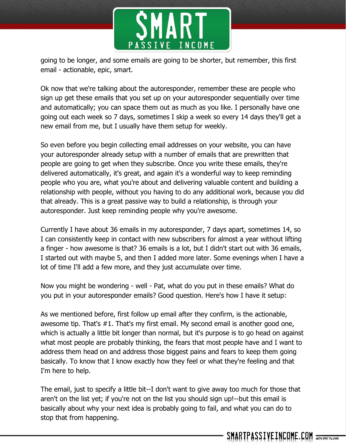

going to be longer, and some emails are going to be shorter, but remember, this first email - actionable, epic, smart.

Ok now that we're talking about the autoresponder, remember these are people who sign up get these emails that you set up on your autoresponder sequentially over time and automatically; you can space them out as much as you like. I personally have one going out each week so 7 days, sometimes I skip a week so every 14 days they'll get a new email from me, but I usually have them setup for weekly.

So even before you begin collecting email addresses on your website, you can have your autoresponder already setup with a number of emails that are prewritten that people are going to get when they subscribe. Once you write these emails, they're delivered automatically, it's great, and again it's a wonderful way to keep reminding people who you are, what you're about and delivering valuable content and building a relationship with people, without you having to do any additional work, because you did that already. This is a great passive way to build a relationship, is through your autoresponder. Just keep reminding people why you're awesome.

Currently I have about 36 emails in my autoresponder, 7 days apart, sometimes 14, so I can consistently keep in contact with new subscribers for almost a year without lifting a finger - how awesome is that? 36 emails is a lot, but I didn't start out with 36 emails, I started out with maybe 5, and then I added more later. Some evenings when I have a lot of time I'll add a few more, and they just accumulate over time.

Now you might be wondering - well - Pat, what do you put in these emails? What do you put in your autoresponder emails? Good question. Here's how I have it setup:

As we mentioned before, first follow up email after they confirm, is the actionable, awesome tip. That's #1. That's my first email. My second email is another good one, which is actually a little bit longer than normal, but it's purpose is to go head on against what most people are probably thinking, the fears that most people have and I want to address them head on and address those biggest pains and fears to keep them going basically. To know that I know exactly how they feel or what they're feeling and that I'm here to help.

The email, just to specify a little bit--I don't want to give away too much for those that aren't on the list yet; if you're not on the list you should sign up!--but this email is basically about why your next idea is probably going to fail, and what you can do to stop that from happening.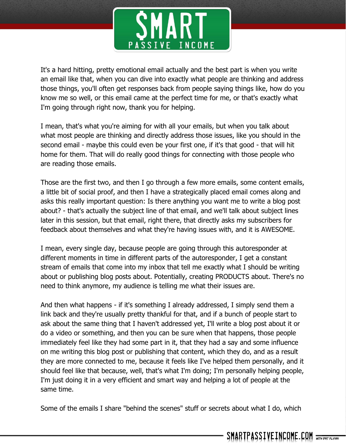

It's a hard hitting, pretty emotional email actually and the best part is when you write an email like that, when you can dive into exactly what people are thinking and address those things, you'll often get responses back from people saying things like, how do you know me so well, or this email came at the perfect time for me, or that's exactly what I'm going through right now, thank you for helping.

I mean, that's what you're aiming for with all your emails, but when you talk about what most people are thinking and directly address those issues, like you should in the second email - maybe this could even be your first one, if it's that good - that will hit home for them. That will do really good things for connecting with those people who are reading those emails.

Those are the first two, and then I go through a few more emails, some content emails, a little bit of social proof, and then I have a strategically placed email comes along and asks this really important question: Is there anything you want me to write a blog post about? - that's actually the subject line of that email, and we'll talk about subject lines later in this session, but that email, right there, that directly asks my subscribers for feedback about themselves and what they're having issues with, and it is AWESOME.

I mean, every single day, because people are going through this autoresponder at different moments in time in different parts of the autoresponder, I get a constant stream of emails that come into my inbox that tell me exactly what I should be writing about or publishing blog posts about. Potentially, creating PRODUCTS about. There's no need to think anymore, my audience is telling me what their issues are.

And then what happens - if it's something I already addressed, I simply send them a link back and they're usually pretty thankful for that, and if a bunch of people start to ask about the same thing that I haven't addressed yet, I'll write a blog post about it or do a video or something, and then you can be sure when that happens, those people immediately feel like they had some part in it, that they had a say and some influence on me writing this blog post or publishing that content, which they do, and as a result they are more connected to me, because it feels like I've helped them personally, and it should feel like that because, well, that's what I'm doing; I'm personally helping people, I'm just doing it in a very efficient and smart way and helping a lot of people at the same time.

Some of the emails I share "behind the scenes" stuff or secrets about what I do, which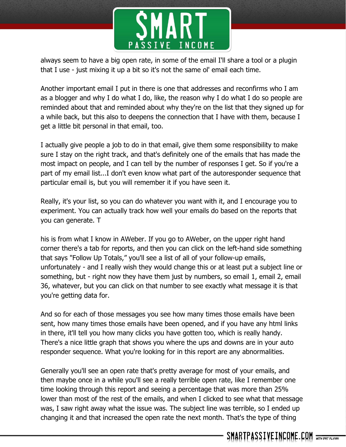

always seem to have a big open rate, in some of the email I'll share a tool or a plugin that I use - just mixing it up a bit so it's not the same ol' email each time.

Another important email I put in there is one that addresses and reconfirms who I am as a blogger and why I do what I do, like, the reason why I do what I do so people are reminded about that and reminded about why they're on the list that they signed up for a while back, but this also to deepens the connection that I have with them, because I get a little bit personal in that email, too.

I actually give people a job to do in that email, give them some responsibility to make sure I stay on the right track, and that's definitely one of the emails that has made the most impact on people, and I can tell by the number of responses I get. So if you're a part of my email list...I don't even know what part of the autoresponder sequence that particular email is, but you will remember it if you have seen it.

Really, it's your list, so you can do whatever you want with it, and I encourage you to experiment. You can actually track how well your emails do based on the reports that you can generate. T

his is from what I know in AWeber. If you go to AWeber, on the upper right hand corner there's a tab for reports, and then you can click on the left-hand side something that says "Follow Up Totals," you'll see a list of all of your follow-up emails, unfortunately - and I really wish they would change this or at least put a subject line or something, but - right now they have them just by numbers, so email 1, email 2, email 36, whatever, but you can click on that number to see exactly what message it is that you're getting data for.

And so for each of those messages you see how many times those emails have been sent, how many times those emails have been opened, and if you have any html links in there, it'll tell you how many clicks you have gotten too, which is really handy. There's a nice little graph that shows you where the ups and downs are in your auto responder sequence. What you're looking for in this report are any abnormalities.

Generally you'll see an open rate that's pretty average for most of your emails, and then maybe once in a while you'll see a really terrible open rate, like I remember one time looking through this report and seeing a percentage that was more than 25% lower than most of the rest of the emails, and when I clicked to see what that message was, I saw right away what the issue was. The subject line was terrible, so I ended up changing it and that increased the open rate the next month. That's the type of thing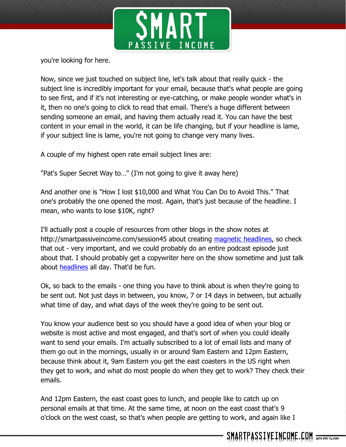

you're looking for here.

Now, since we just touched on subject line, let's talk about that really quick - the subject line is incredibly important for your email, because that's what people are going to see first, and if it's not interesting or eye-catching, or make people wonder what's in it, then no one's going to click to read that email. There's a huge different between sending someone an email, and having them actually read it. You can have the best content in your email in the world, it can be life changing, but if your headline is lame, if your subject line is lame, you're not going to change very many lives.

A couple of my highest open rate email subject lines are:

"Pat's Super Secret Way to…" (I'm not going to give it away here)

And another one is "How I lost \$10,000 and What You Can Do to Avoid This." That one's probably the one opened the most. Again, that's just because of the headline. I mean, who wants to lose \$10K, right?

I'll actually post a couple of resources from other blogs in the show notes at http://smartpassiveincome.com/session45 about creating [magnetic headlines,](http://www.copyblogger.com/magnetic-headlines/) so check that out - very important, and we could probably do an entire podcast episode just about that. I should probably get a copywriter here on the show sometime and just talk about [headlines](http://www.copyblogger.com/how-to-write-headlines-that-work/) all day. That'd be fun.

Ok, so back to the emails - one thing you have to think about is when they're going to be sent out. Not just days in between, you know, 7 or 14 days in between, but actually what time of day, and what days of the week they're going to be sent out.

You know your audience best so you should have a good idea of when your blog or website is most active and most engaged, and that's sort of when you could ideally want to send your emails. I'm actually subscribed to a lot of email lists and many of them go out in the mornings, usually in or around 9am Eastern and 12pm Eastern, because think about it, 9am Eastern you get the east coasters in the US right when they get to work, and what do most people do when they get to work? They check their emails.

And 12pm Eastern, the east coast goes to lunch, and people like to catch up on personal emails at that time. At the same time, at noon on the east coast that's 9 o'clock on the west coast, so that's when people are getting to work, and again like I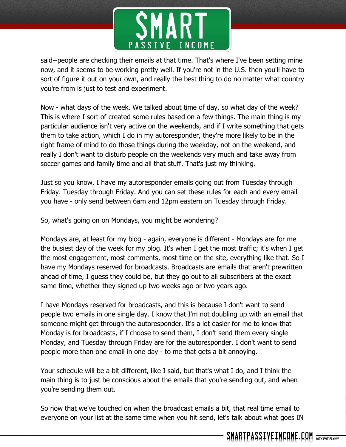

said--people are checking their emails at that time. That's where I've been setting mine now, and it seems to be working pretty well. If you're not in the U.S. then you'll have to sort of figure it out on your own, and really the best thing to do no matter what country you're from is just to test and experiment.

Now - what days of the week. We talked about time of day, so what day of the week? This is where I sort of created some rules based on a few things. The main thing is my particular audience isn't very active on the weekends, and if I write something that gets them to take action, which I do in my autoresponder, they're more likely to be in the right frame of mind to do those things during the weekday, not on the weekend, and really I don't want to disturb people on the weekends very much and take away from soccer games and family time and all that stuff. That's just my thinking.

Just so you know, I have my autoresponder emails going out from Tuesday through Friday. Tuesday through Friday. And you can set these rules for each and every email you have - only send between 6am and 12pm eastern on Tuesday through Friday.

So, what's going on on Mondays, you might be wondering?

Mondays are, at least for my blog - again, everyone is different - Mondays are for me the busiest day of the week for my blog. It's when I get the most traffic; it's when I get the most engagement, most comments, most time on the site, everything like that. So I have my Mondays reserved for broadcasts. Broadcasts are emails that aren't prewritten ahead of time, I guess they could be, but they go out to all subscribers at the exact same time, whether they signed up two weeks ago or two years ago.

I have Mondays reserved for broadcasts, and this is because I don't want to send people two emails in one single day. I know that I'm not doubling up with an email that someone might get through the autoresponder. It's a lot easier for me to know that Monday is for broadcasts, if I choose to send them, I don't send them every single Monday, and Tuesday through Friday are for the autoresponder. I don't want to send people more than one email in one day - to me that gets a bit annoying.

Your schedule will be a bit different, like I said, but that's what I do, and I think the main thing is to just be conscious about the emails that you're sending out, and when you're sending them out.

So now that we've touched on when the broadcast emails a bit, that real time email to everyone on your list at the same time when you hit send, let's talk about what goes IN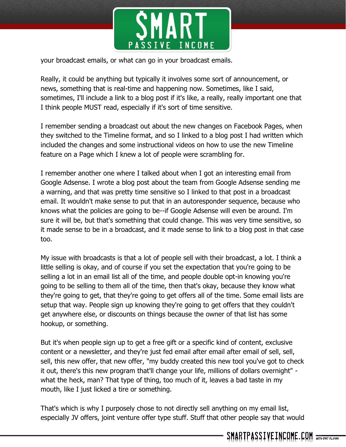

your broadcast emails, or what can go in your broadcast emails.

Really, it could be anything but typically it involves some sort of announcement, or news, something that is real-time and happening now. Sometimes, like I said, sometimes, I'll include a link to a blog post if it's like, a really, really important one that I think people MUST read, especially if it's sort of time sensitive.

I remember sending a broadcast out about the new changes on Facebook Pages, when they switched to the Timeline format, and so I linked to a blog post I had written which included the changes and some instructional videos on how to use the new Timeline feature on a Page which I knew a lot of people were scrambling for.

I remember another one where I talked about when I got an interesting email from Google Adsense. I wrote a blog post about the team from Google Adsense sending me a warning, and that was pretty time sensitive so I linked to that post in a broadcast email. It wouldn't make sense to put that in an autoresponder sequence, because who knows what the policies are going to be--if Google Adsense will even be around. I'm sure it will be, but that's something that could change. This was very time sensitive, so it made sense to be in a broadcast, and it made sense to link to a blog post in that case too.

My issue with broadcasts is that a lot of people sell with their broadcast, a lot. I think a little selling is okay, and of course if you set the expectation that you're going to be selling a lot in an email list all of the time, and people double opt-in knowing you're going to be selling to them all of the time, then that's okay, because they know what they're going to get, that they're going to get offers all of the time. Some email lists are setup that way. People sign up knowing they're going to get offers that they couldn't get anywhere else, or discounts on things because the owner of that list has some hookup, or something.

But it's when people sign up to get a free gift or a specific kind of content, exclusive content or a newsletter, and they're just fed email after email after email of sell, sell, sell, this new offer, that new offer, "my buddy created this new tool you've got to check it out, there's this new program that'll change your life, millions of dollars overnight" what the heck, man? That type of thing, too much of it, leaves a bad taste in my mouth, like I just licked a tire or something.

That's which is why I purposely chose to not directly sell anything on my email list, especially JV offers, joint venture offer type stuff. Stuff that other people say that would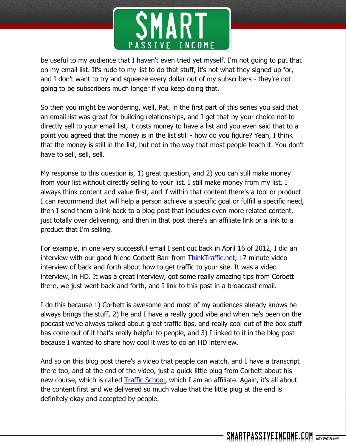

be useful to my audience that I haven't even tried yet myself. I'm not going to put that on my email list. It's rude to my list to do that stuff, it's not what they signed up for, and I don't want to try and squeeze every dollar out of my subscribers - they're not going to be subscribers much longer if you keep doing that.

So then you might be wondering, well, Pat, in the first part of this series you said that an email list was great for building relationships, and I get that by your choice not to directly sell to your email list, it costs money to have a list and you even said that to a point you agreed that the money is in the list still - how do you figure? Yeah, I think that the money is still in the list, but not in the way that most people teach it. You don't have to sell, sell, sell.

My response to this question is, 1) great question, and 2) you can still make money from your list without directly selling to your list. I still make money from my list. I always think content and value first, and if within that content there's a tool or product I can recommend that will help a person achieve a specific goal or fulfill a specific need, then I send them a link back to a blog post that includes even more related content, just totally over delivering, and then in that post there's an affiliate link or a link to a product that I'm selling.

For example, in one very successful email I sent out back in April 16 of 2012, I did an interview with our good friend Corbett Barr from [ThinkTraffic.net,](http://thinktraffic.net/) 17 minute video interview of back and forth about how to get traffic to your site. It was a video interview, in HD. It was a great interview, got some really amazing tips from Corbett there, we just went back and forth, and I link to this post in a broadcast email.

I do this because 1) Corbett is awesome and most of my audiences already knows he always brings the stuff, 2) he and I have a really good vibe and when he's been on the podcast we've always talked about great traffic tips, and really cool out of the box stuff has come out of it that's really helpful to people, and 3) I linked to it in the blog post because I wanted to share how cool it was to do an HD interview.

And so on this blog post there's a video that people can watch, and I have a transcript there too, and at the end of the video, just a quick little plug from Corbett about his new course, which is called [Traffic School,](http://www.smartpassiveincome.com/trafficschool) which I am an affiliate. Again, it's all about the content first and we delivered so much value that the little plug at the end is definitely okay and accepted by people.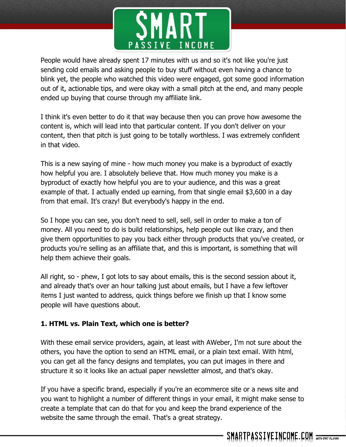

People would have already spent 17 minutes with us and so it's not like you're just sending cold emails and asking people to buy stuff without even having a chance to blink yet, the people who watched this video were engaged, got some good information out of it, actionable tips, and were okay with a small pitch at the end, and many people ended up buying that course through my affiliate link.

I think it's even better to do it that way because then you can prove how awesome the content is, which will lead into that particular content. If you don't deliver on your content, then that pitch is just going to be totally worthless. I was extremely confident in that video.

This is a new saying of mine - how much money you make is a byproduct of exactly how helpful you are. I absolutely believe that. How much money you make is a byproduct of exactly how helpful you are to your audience, and this was a great example of that. I actually ended up earning, from that single email \$3,600 in a day from that email. It's crazy! But everybody's happy in the end.

So I hope you can see, you don't need to sell, sell, sell in order to make a ton of money. All you need to do is build relationships, help people out like crazy, and then give them opportunities to pay you back either through products that you've created, or products you're selling as an affiliate that, and this is important, is something that will help them achieve their goals.

All right, so - phew, I got lots to say about emails, this is the second session about it, and already that's over an hour talking just about emails, but I have a few leftover items I just wanted to address, quick things before we finish up that I know some people will have questions about.

### **1. HTML vs. Plain Text, which one is better?**

With these email service providers, again, at least with AWeber, I'm not sure about the others, you have the option to send an HTML email, or a plain text email. With html, you can get all the fancy designs and templates, you can put images in there and structure it so it looks like an actual paper newsletter almost, and that's okay.

If you have a specific brand, especially if you're an ecommerce site or a news site and you want to highlight a number of different things in your email, it might make sense to create a template that can do that for you and keep the brand experience of the website the same through the email. That's a great strategy.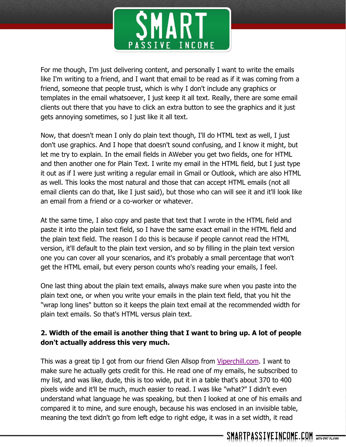

For me though, I'm just delivering content, and personally I want to write the emails like I'm writing to a friend, and I want that email to be read as if it was coming from a friend, someone that people trust, which is why I don't include any graphics or templates in the email whatsoever, I just keep it all text. Really, there are some email clients out there that you have to click an extra button to see the graphics and it just gets annoying sometimes, so I just like it all text.

Now, that doesn't mean I only do plain text though, I'll do HTML text as well, I just don't use graphics. And I hope that doesn't sound confusing, and I know it might, but let me try to explain. In the email fields in AWeber you get two fields, one for HTML and then another one for Plain Text. I write my email in the HTML field, but I just type it out as if I were just writing a regular email in Gmail or Outlook, which are also HTML as well. This looks the most natural and those that can accept HTML emails (not all email clients can do that, like I just said), but those who can will see it and it'll look like an email from a friend or a co-worker or whatever.

At the same time, I also copy and paste that text that I wrote in the HTML field and paste it into the plain text field, so I have the same exact email in the HTML field and the plain text field. The reason I do this is because if people cannot read the HTML version, it'll default to the plain text version, and so by filling in the plain text version one you can cover all your scenarios, and it's probably a small percentage that won't get the HTML email, but every person counts who's reading your emails, I feel.

One last thing about the plain text emails, always make sure when you paste into the plain text one, or when you write your emails in the plain text field, that you hit the "wrap long lines" button so it keeps the plain text email at the recommended width for plain text emails. So that's HTML versus plain text.

# **2. Width of the email is another thing that I want to bring up. A lot of people don't actually address this very much.**

This was a great tip I got from our friend Glen Allsop from [Viperchill.com.](http://viperchill.com/) I want to make sure he actually gets credit for this. He read one of my emails, he subscribed to my list, and was like, dude, this is too wide, put it in a table that's about 370 to 400 pixels wide and it'll be much, much easier to read. I was like "what?" I didn't even understand what language he was speaking, but then I looked at one of his emails and compared it to mine, and sure enough, because his was enclosed in an invisible table, meaning the text didn't go from left edge to right edge, it was in a set width, it read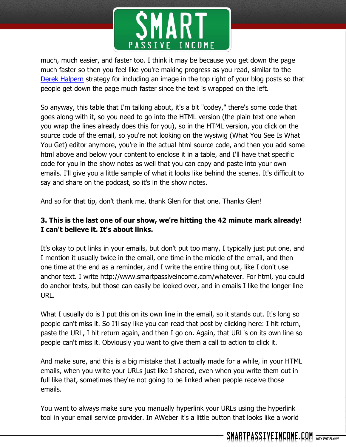

much, much easier, and faster too. I think it may be because you get down the page much faster so then you feel like you're making progress as you read, similar to the [Derek Halpern](http://socialtriggers.com/) strategy for including an image in the top right of your blog posts so that people get down the page much faster since the text is wrapped on the left.

So anyway, this table that I'm talking about, it's a bit "codey," there's some code that goes along with it, so you need to go into the HTML version (the plain text one when you wrap the lines already does this for you), so in the HTML version, you click on the source code of the email, so you're not looking on the wysiwig (What You See Is What You Get) editor anymore, you're in the actual html source code, and then you add some html above and below your content to enclose it in a table, and I'll have that specific code for you in the show notes as well that you can copy and paste into your own emails. I'll give you a little sample of what it looks like behind the scenes. It's difficult to say and share on the podcast, so it's in the show notes.

And so for that tip, don't thank me, thank Glen for that one. Thanks Glen!

# **3. This is the last one of our show, we're hitting the 42 minute mark already! I can't believe it. It's about links.**

It's okay to put links in your emails, but don't put too many, I typically just put one, and I mention it usually twice in the email, one time in the middle of the email, and then one time at the end as a reminder, and I write the entire thing out, like I don't use anchor text. I write http://www.smartpassiveincome.com/whatever. For html, you could do anchor texts, but those can easily be looked over, and in emails I like the longer line URL.

What I usually do is I put this on its own line in the email, so it stands out. It's long so people can't miss it. So I'll say like you can read that post by clicking here: I hit return, paste the URL, I hit return again, and then I go on. Again, that URL's on its own line so people can't miss it. Obviously you want to give them a call to action to click it.

And make sure, and this is a big mistake that I actually made for a while, in your HTML emails, when you write your URLs just like I shared, even when you write them out in full like that, sometimes they're not going to be linked when people receive those emails.

You want to always make sure you manually hyperlink your URLs using the hyperlink tool in your email service provider. In AWeber it's a little button that looks like a world